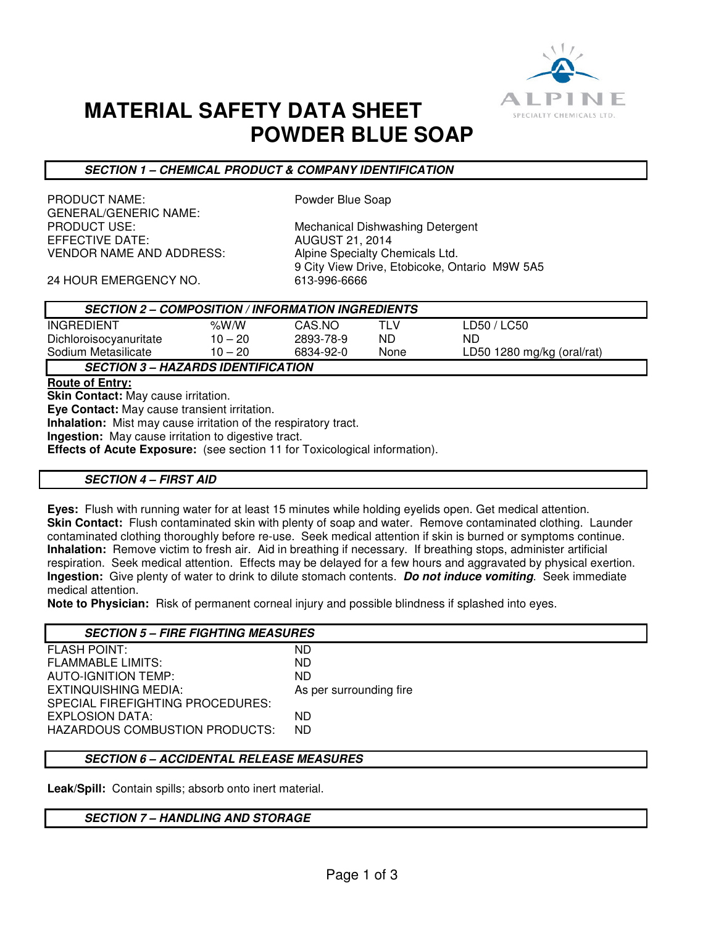

## **MATERIAL SAFETY DATA SHEET POWDER BLUE SOAP**

## **SECTION 1 – CHEMICAL PRODUCT & COMPANY IDENTIFICATION**

PRODUCT NAME: PRODUCT NAME: GENERAL/GENERIC NAME:<br>PRODUCT USE: EFFECTIVE DATE: AUGUST 21, 2014 VENDOR NAME AND ADDRESS: Alpine Specialty Chemicals Ltd.

Mechanical Dishwashing Detergent 9 City View Drive, Etobicoke, Ontario M9W 5A5

24 HOUR EMERGENCY NO. 613-996-6666

| <b>SECTION 2 – COMPOSITION / INFORMATION INGREDIENTS</b> |                                                     |           |      |                            |
|----------------------------------------------------------|-----------------------------------------------------|-----------|------|----------------------------|
| <b>INGREDIENT</b>                                        | % $W/N$                                             | CAS.NO    | TLV  | LD50 / LC50                |
| Dichloroisocyanuritate                                   | $10 - 20$                                           | 2893-78-9 | ND   | ND                         |
| Sodium Metasilicate                                      | $10 - 20$                                           | 6834-92-0 | None | LD50 1280 mg/kg (oral/rat) |
|                                                          | $\overline{11177100}$ in $\overline{1117100171011}$ |           |      |                            |

**SECTION 3 – HAZARDS IDENTIFICATION** 

**Route of Entry:** 

**Skin Contact:** May cause irritation. **Eye Contact:** May cause transient irritation.

**Inhalation:** Mist may cause irritation of the respiratory tract.

**Ingestion:** May cause irritation to digestive tract.

**Effects of Acute Exposure:** (see section 11 for Toxicological information).

## **SECTION 4 – FIRST AID**

**Eyes:** Flush with running water for at least 15 minutes while holding eyelids open. Get medical attention. **Skin Contact:** Flush contaminated skin with plenty of soap and water. Remove contaminated clothing. Launder contaminated clothing thoroughly before re-use. Seek medical attention if skin is burned or symptoms continue. **Inhalation:** Remove victim to fresh air. Aid in breathing if necessary. If breathing stops, administer artificial respiration. Seek medical attention. Effects may be delayed for a few hours and aggravated by physical exertion. **Ingestion:** Give plenty of water to drink to dilute stomach contents. **Do not induce vomiting**. Seek immediate medical attention.

**Note to Physician:** Risk of permanent corneal injury and possible blindness if splashed into eyes.

| <b>SECTION 5 - FIRE FIGHTING MEASURES</b> |                         |
|-------------------------------------------|-------------------------|
| <b>FLASH POINT:</b>                       | ND.                     |
| <b>FLAMMABLE LIMITS:</b>                  | ND.                     |
| <b>AUTO-IGNITION TEMP:</b>                | ND.                     |
| EXTINQUISHING MEDIA:                      | As per surrounding fire |
| SPECIAL FIREFIGHTING PROCEDURES:          |                         |
| EXPLOSION DATA:                           | ND.                     |
| <b>HAZARDOUS COMBUSTION PRODUCTS:</b>     | ND.                     |
|                                           |                         |

## **SECTION 6 – ACCIDENTAL RELEASE MEASURES**

**Leak/Spill:** Contain spills; absorb onto inert material.

#### **SECTION 7 – HANDLING AND STORAGE**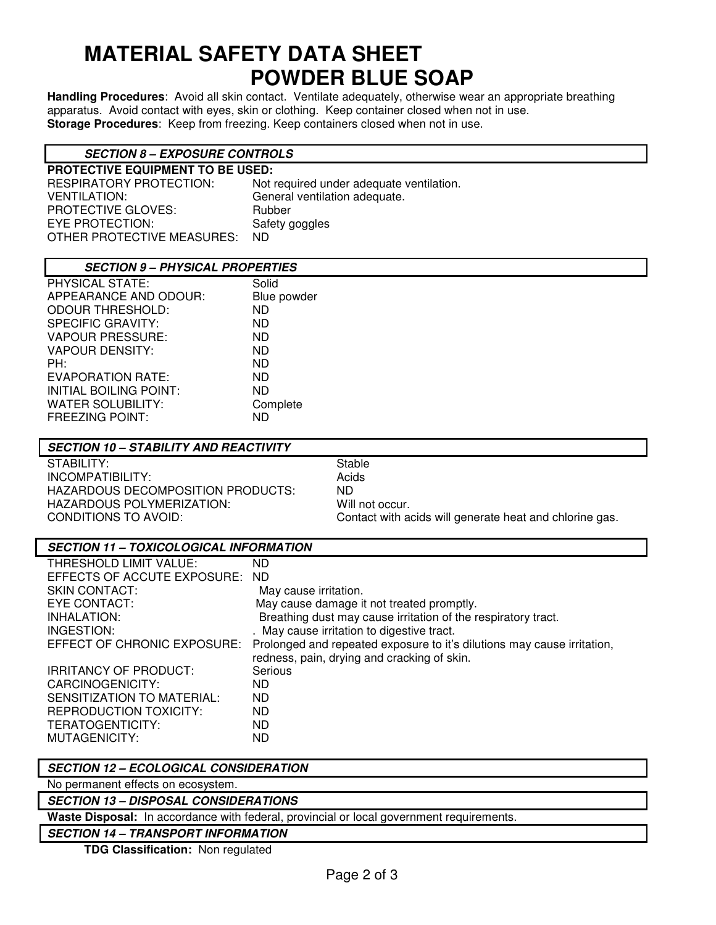# **MATERIAL SAFETY DATA SHEET POWDER BLUE SOAP**

**Handling Procedures**: Avoid all skin contact. Ventilate adequately, otherwise wear an appropriate breathing apparatus. Avoid contact with eyes, skin or clothing. Keep container closed when not in use. **Storage Procedures**: Keep from freezing. Keep containers closed when not in use.

#### **SECTION 8 – EXPOSURE CONTROLS**

| <b>PROTECTIVE EQUIPMENT TO BE USED:</b> |                                          |  |  |
|-----------------------------------------|------------------------------------------|--|--|
| RESPIRATORY PROTECTION:                 | Not required under adequate ventilation. |  |  |
| <b>VENTILATION:</b>                     | General ventilation adequate.            |  |  |
| <b>PROTECTIVE GLOVES:</b>               | Rubber                                   |  |  |
| EYE PROTECTION:                         | Safety goggles                           |  |  |
| OTHER PROTECTIVE MEASURES:              | ND.                                      |  |  |

| <b>SECTION 9 - PHYSICAL PROPERTIES</b> |             |  |
|----------------------------------------|-------------|--|
| PHYSICAL STATE:                        | Solid       |  |
| APPEARANCE AND ODOUR:                  | Blue powder |  |
| <b>ODOUR THRESHOLD:</b>                | ND.         |  |
| <b>SPECIFIC GRAVITY:</b>               | ND.         |  |
| <b>VAPOUR PRESSURE:</b>                | <b>ND</b>   |  |
| VAPOUR DENSITY:                        | <b>ND</b>   |  |
| PH:                                    | <b>ND</b>   |  |
| EVAPORATION RATE:                      | <b>ND</b>   |  |
| INITIAL BOILING POINT:                 | ND.         |  |
| WATER SOLUBILITY:                      | Complete    |  |
| <b>FREEZING POINT:</b>                 | ND.         |  |

| <b>SECTION 10 - STABILITY AND REACTIVITY</b> |                                                         |
|----------------------------------------------|---------------------------------------------------------|
| STABILITY:                                   | Stable                                                  |
| INCOMPATIBILITY:                             | Acids                                                   |
| HAZARDOUS DECOMPOSITION PRODUCTS:            | ND.                                                     |
| HAZARDOUS POLYMERIZATION:                    | Will not occur.                                         |
| CONDITIONS TO AVOID:                         | Contact with acids will generate heat and chlorine gas. |
|                                              |                                                         |

| THRESHOLD LIMIT VALUE:         | ND                                                                      |
|--------------------------------|-------------------------------------------------------------------------|
| EFFECTS OF ACCUTE EXPOSURE: ND |                                                                         |
| <b>SKIN CONTACT:</b>           | May cause irritation.                                                   |
| EYE CONTACT:                   | May cause damage it not treated promptly.                               |
| INHALATION:                    | Breathing dust may cause irritation of the respiratory tract.           |
| INGESTION:                     | . May cause irritation to digestive tract.                              |
| EFFECT OF CHRONIC EXPOSURE:    | Prolonged and repeated exposure to it's dilutions may cause irritation, |
|                                | redness, pain, drying and cracking of skin.                             |
| <b>IRRITANCY OF PRODUCT:</b>   | Serious                                                                 |
| CARCINOGENICITY:               | ND                                                                      |
| SENSITIZATION TO MATERIAL:     | <b>ND</b>                                                               |
| <b>REPRODUCTION TOXICITY:</b>  | ND.                                                                     |
| TERATOGENTICITY:               | ND                                                                      |
| MUTAGENICITY:                  | ND                                                                      |

#### **SECTION 12 – ECOLOGICAL CONSIDERATION**

No permanent effects on ecosystem.

## **SECTION 13 – DISPOSAL CONSIDERATIONS**

**Waste Disposal:** In accordance with federal, provincial or local government requirements.

## **SECTION 14 – TRANSPORT INFORMATION**

**TDG Classification:** Non regulated